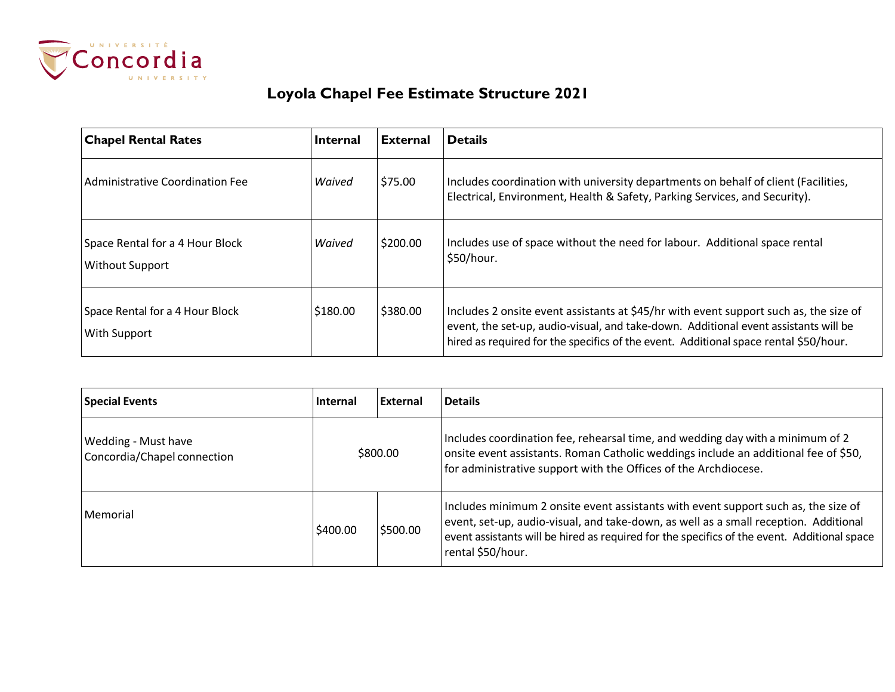

## **Loyola Chapel Fee Estimate Structure 2021**

| <b>Chapel Rental Rates</b>                                | <b>Internal</b> | <b>External</b> | <b>Details</b>                                                                                                                                                                                                                                                       |
|-----------------------------------------------------------|-----------------|-----------------|----------------------------------------------------------------------------------------------------------------------------------------------------------------------------------------------------------------------------------------------------------------------|
| Administrative Coordination Fee                           | Waived          | \$75.00         | Includes coordination with university departments on behalf of client (Facilities,<br>Electrical, Environment, Health & Safety, Parking Services, and Security).                                                                                                     |
| Space Rental for a 4 Hour Block<br><b>Without Support</b> | Waived          | \$200.00        | Includes use of space without the need for labour. Additional space rental<br>\$50/hour.                                                                                                                                                                             |
| Space Rental for a 4 Hour Block<br>With Support           | \$180.00        | \$380.00        | Includes 2 onsite event assistants at \$45/hr with event support such as, the size of<br>event, the set-up, audio-visual, and take-down. Additional event assistants will be<br>hired as required for the specifics of the event. Additional space rental \$50/hour. |

| <b>Special Events</b>                                     | <b>Internal</b>      | External | <b>Details</b>                                                                                                                                                                                                                                                                                 |
|-----------------------------------------------------------|----------------------|----------|------------------------------------------------------------------------------------------------------------------------------------------------------------------------------------------------------------------------------------------------------------------------------------------------|
| <b>Wedding - Must have</b><br>Concordia/Chapel connection | \$800.00             |          | Includes coordination fee, rehearsal time, and wedding day with a minimum of 2<br>onsite event assistants. Roman Catholic weddings include an additional fee of \$50,<br>for administrative support with the Offices of the Archdiocese.                                                       |
| l Memorial                                                | \$500.00<br>\$400.00 |          | Includes minimum 2 onsite event assistants with event support such as, the size of<br>event, set-up, audio-visual, and take-down, as well as a small reception. Additional<br>event assistants will be hired as required for the specifics of the event. Additional space<br>rental \$50/hour. |